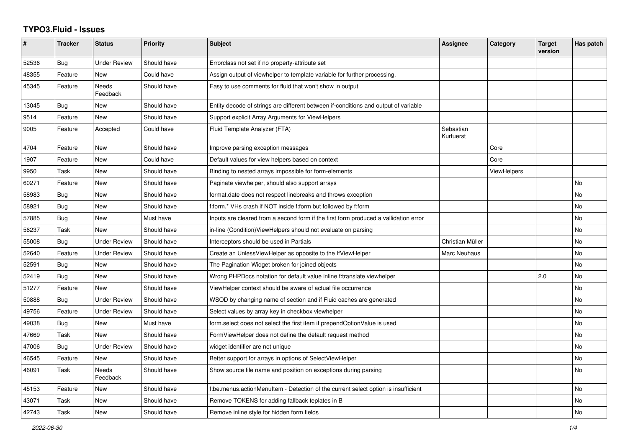## **TYPO3.Fluid - Issues**

| #     | <b>Tracker</b> | <b>Status</b>       | <b>Priority</b> | <b>Subject</b>                                                                       | <b>Assignee</b>        | Category           | <b>Target</b><br>version | Has patch |
|-------|----------------|---------------------|-----------------|--------------------------------------------------------------------------------------|------------------------|--------------------|--------------------------|-----------|
| 52536 | <b>Bug</b>     | <b>Under Review</b> | Should have     | Errorclass not set if no property-attribute set                                      |                        |                    |                          |           |
| 48355 | Feature        | New                 | Could have      | Assign output of viewhelper to template variable for further processing.             |                        |                    |                          |           |
| 45345 | Feature        | Needs<br>Feedback   | Should have     | Easy to use comments for fluid that won't show in output                             |                        |                    |                          |           |
| 13045 | Bug            | New                 | Should have     | Entity decode of strings are different between if-conditions and output of variable  |                        |                    |                          |           |
| 9514  | Feature        | <b>New</b>          | Should have     | Support explicit Array Arguments for ViewHelpers                                     |                        |                    |                          |           |
| 9005  | Feature        | Accepted            | Could have      | Fluid Template Analyzer (FTA)                                                        | Sebastian<br>Kurfuerst |                    |                          |           |
| 4704  | Feature        | New                 | Should have     | Improve parsing exception messages                                                   |                        | Core               |                          |           |
| 1907  | Feature        | New                 | Could have      | Default values for view helpers based on context                                     |                        | Core               |                          |           |
| 9950  | Task           | New                 | Should have     | Binding to nested arrays impossible for form-elements                                |                        | <b>ViewHelpers</b> |                          |           |
| 60271 | Feature        | New                 | Should have     | Paginate viewhelper, should also support arrays                                      |                        |                    |                          | <b>No</b> |
| 58983 | <b>Bug</b>     | New                 | Should have     | format.date does not respect linebreaks and throws exception                         |                        |                    |                          | <b>No</b> |
| 58921 | Bug            | New                 | Should have     | f:form.* VHs crash if NOT inside f:form but followed by f:form                       |                        |                    |                          | No        |
| 57885 | Bug            | New                 | Must have       | Inputs are cleared from a second form if the first form produced a vallidation error |                        |                    |                          | No        |
| 56237 | Task           | New                 | Should have     | in-line (Condition) ViewHelpers should not evaluate on parsing                       |                        |                    |                          | No        |
| 55008 | Bug            | <b>Under Review</b> | Should have     | Interceptors should be used in Partials                                              | Christian Müller       |                    |                          | <b>No</b> |
| 52640 | Feature        | <b>Under Review</b> | Should have     | Create an UnlessViewHelper as opposite to the IfViewHelper                           | Marc Neuhaus           |                    |                          | No        |
| 52591 | Bug            | <b>New</b>          | Should have     | The Pagination Widget broken for joined objects                                      |                        |                    |                          | <b>No</b> |
| 52419 | Bug            | New                 | Should have     | Wrong PHPDocs notation for default value inline f:translate viewhelper               |                        |                    | 2.0                      | No        |
| 51277 | Feature        | New                 | Should have     | ViewHelper context should be aware of actual file occurrence                         |                        |                    |                          | <b>No</b> |
| 50888 | <b>Bug</b>     | <b>Under Review</b> | Should have     | WSOD by changing name of section and if Fluid caches are generated                   |                        |                    |                          | <b>No</b> |
| 49756 | Feature        | <b>Under Review</b> | Should have     | Select values by array key in checkbox viewhelper                                    |                        |                    |                          | No        |
| 49038 | Bug            | New                 | Must have       | form.select does not select the first item if prependOptionValue is used             |                        |                    |                          | No.       |
| 47669 | Task           | New                 | Should have     | FormViewHelper does not define the default request method                            |                        |                    |                          | No        |
| 47006 | Bug            | <b>Under Review</b> | Should have     | widget identifier are not unique                                                     |                        |                    |                          | <b>No</b> |
| 46545 | Feature        | New                 | Should have     | Better support for arrays in options of SelectViewHelper                             |                        |                    |                          | <b>No</b> |
| 46091 | Task           | Needs<br>Feedback   | Should have     | Show source file name and position on exceptions during parsing                      |                        |                    |                          | No        |
| 45153 | Feature        | New                 | Should have     | f:be.menus.actionMenuItem - Detection of the current select option is insufficient   |                        |                    |                          | No        |
| 43071 | Task           | New                 | Should have     | Remove TOKENS for adding fallback teplates in B                                      |                        |                    |                          | No        |
| 42743 | Task           | <b>New</b>          | Should have     | Remove inline style for hidden form fields                                           |                        |                    |                          | No        |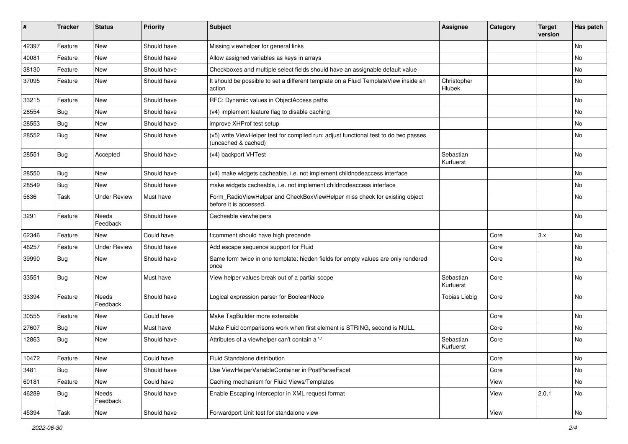| #     | <b>Tracker</b> | <b>Status</b>            | <b>Priority</b> | Subject                                                                                                     | <b>Assignee</b>        | Category | <b>Target</b><br>version | Has patch     |
|-------|----------------|--------------------------|-----------------|-------------------------------------------------------------------------------------------------------------|------------------------|----------|--------------------------|---------------|
| 42397 | Feature        | New                      | Should have     | Missing viewhelper for general links                                                                        |                        |          |                          | <b>No</b>     |
| 40081 | Feature        | New                      | Should have     | Allow assigned variables as keys in arrays                                                                  |                        |          |                          | No            |
| 38130 | Feature        | New                      | Should have     | Checkboxes and multiple select fields should have an assignable default value                               |                        |          |                          | No            |
| 37095 | Feature        | New                      | Should have     | It should be possible to set a different template on a Fluid TemplateView inside an<br>action               | Christopher<br>Hlubek  |          |                          | No            |
| 33215 | Feature        | New                      | Should have     | RFC: Dynamic values in ObjectAccess paths                                                                   |                        |          |                          | <b>No</b>     |
| 28554 | Bug            | New                      | Should have     | (v4) implement feature flag to disable caching                                                              |                        |          |                          | No            |
| 28553 | Bug            | New                      | Should have     | improve XHProf test setup                                                                                   |                        |          |                          | No            |
| 28552 | Bug            | <b>New</b>               | Should have     | (v5) write ViewHelper test for compiled run; adjust functional test to do two passes<br>(uncached & cached) |                        |          |                          | No            |
| 28551 | Bug            | Accepted                 | Should have     | (v4) backport VHTest                                                                                        | Sebastian<br>Kurfuerst |          |                          | No            |
| 28550 | Bug            | New                      | Should have     | (v4) make widgets cacheable, i.e. not implement childnodeaccess interface                                   |                        |          |                          | No            |
| 28549 | Bug            | New                      | Should have     | make widgets cacheable, i.e. not implement childnodeaccess interface                                        |                        |          |                          | No            |
| 5636  | Task           | <b>Under Review</b>      | Must have       | Form_RadioViewHelper and CheckBoxViewHelper miss check for existing object<br>before it is accessed.        |                        |          |                          | No            |
| 3291  | Feature        | Needs<br>Feedback        | Should have     | Cacheable viewhelpers                                                                                       |                        |          |                          | No            |
| 62346 | Feature        | New                      | Could have      | f:comment should have high precende                                                                         |                        | Core     | 3.x                      | No            |
| 46257 | Feature        | <b>Under Review</b>      | Should have     | Add escape sequence support for Fluid                                                                       |                        | Core     |                          | No            |
| 39990 | Bug            | New                      | Should have     | Same form twice in one template: hidden fields for empty values are only rendered<br>once                   |                        | Core     |                          | No            |
| 33551 | <b>Bug</b>     | New                      | Must have       | View helper values break out of a partial scope                                                             | Sebastian<br>Kurfuerst | Core     |                          | No            |
| 33394 | Feature        | <b>Needs</b><br>Feedback | Should have     | Logical expression parser for BooleanNode                                                                   | <b>Tobias Liebig</b>   | Core     |                          | No            |
| 30555 | Feature        | New                      | Could have      | Make TagBuilder more extensible                                                                             |                        | Core     |                          | No            |
| 27607 | Bug            | New                      | Must have       | Make Fluid comparisons work when first element is STRING, second is NULL.                                   |                        | Core     |                          | No            |
| 12863 | Bug            | New                      | Should have     | Attributes of a viewhelper can't contain a '-'                                                              | Sebastian<br>Kurfuerst | Core     |                          | No            |
| 10472 | Feature        | New                      | Could have      | Fluid Standalone distribution                                                                               |                        | Core     |                          | No            |
| 3481  | <b>Bug</b>     | New                      | Should have     | Use ViewHelperVariableContainer in PostParseFacet                                                           |                        | Core     |                          | No            |
| 60181 | Feature        | New                      | Could have      | Caching mechanism for Fluid Views/Templates                                                                 |                        | View     |                          | No            |
| 46289 | Bug            | Needs<br>Feedback        | Should have     | Enable Escaping Interceptor in XML request format                                                           |                        | View     | 2.0.1                    | No            |
| 45394 | Task           | New                      | Should have     | Forwardport Unit test for standalone view                                                                   |                        | View     |                          | $\mathsf{No}$ |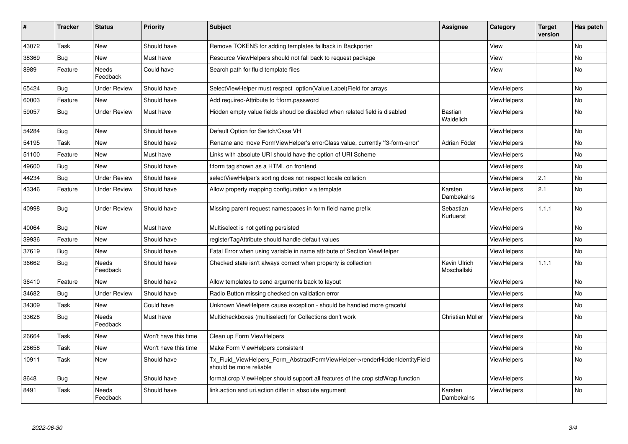| #     | <b>Tracker</b> | <b>Status</b>       | <b>Priority</b>      | <b>Subject</b>                                                                                         | <b>Assignee</b>             | Category           | <b>Target</b><br>version | Has patch |
|-------|----------------|---------------------|----------------------|--------------------------------------------------------------------------------------------------------|-----------------------------|--------------------|--------------------------|-----------|
| 43072 | Task           | New                 | Should have          | Remove TOKENS for adding templates fallback in Backporter                                              |                             | View               |                          | <b>No</b> |
| 38369 | Bug            | New                 | Must have            | Resource ViewHelpers should not fall back to request package                                           |                             | View               |                          | <b>No</b> |
| 8989  | Feature        | Needs<br>Feedback   | Could have           | Search path for fluid template files                                                                   |                             | View               |                          | No        |
| 65424 | Bug            | <b>Under Review</b> | Should have          | SelectViewHelper must respect option(Value Label)Field for arrays                                      |                             | <b>ViewHelpers</b> |                          | No        |
| 60003 | Feature        | <b>New</b>          | Should have          | Add required-Attribute to f:form.password                                                              |                             | ViewHelpers        |                          | <b>No</b> |
| 59057 | Bug            | <b>Under Review</b> | Must have            | Hidden empty value fields shoud be disabled when related field is disabled                             | <b>Bastian</b><br>Waidelich | <b>ViewHelpers</b> |                          | <b>No</b> |
| 54284 | <b>Bug</b>     | New                 | Should have          | Default Option for Switch/Case VH                                                                      |                             | ViewHelpers        |                          | <b>No</b> |
| 54195 | Task           | <b>New</b>          | Should have          | Rename and move FormViewHelper's errorClass value, currently 'f3-form-error'                           | Adrian Föder                | ViewHelpers        |                          | <b>No</b> |
| 51100 | Feature        | New                 | Must have            | Links with absolute URI should have the option of URI Scheme                                           |                             | <b>ViewHelpers</b> |                          | <b>No</b> |
| 49600 | <b>Bug</b>     | New                 | Should have          | f:form tag shown as a HTML on frontend                                                                 |                             | ViewHelpers        |                          | No        |
| 44234 | Bug            | <b>Under Review</b> | Should have          | selectViewHelper's sorting does not respect locale collation                                           |                             | <b>ViewHelpers</b> | 2.1                      | <b>No</b> |
| 43346 | Feature        | <b>Under Review</b> | Should have          | Allow property mapping configuration via template                                                      | Karsten<br>Dambekalns       | ViewHelpers        | 2.1                      | No        |
| 40998 | <b>Bug</b>     | <b>Under Review</b> | Should have          | Missing parent request namespaces in form field name prefix                                            | Sebastian<br>Kurfuerst      | <b>ViewHelpers</b> | 1.1.1                    | No        |
| 40064 | Bug            | New                 | Must have            | Multiselect is not getting persisted                                                                   |                             | ViewHelpers        |                          | No        |
| 39936 | Feature        | New                 | Should have          | registerTagAttribute should handle default values                                                      |                             | ViewHelpers        |                          | No        |
| 37619 | Bug            | New                 | Should have          | Fatal Error when using variable in name attribute of Section ViewHelper                                |                             | ViewHelpers        |                          | No        |
| 36662 | <b>Bug</b>     | Needs<br>Feedback   | Should have          | Checked state isn't always correct when property is collection                                         | Kevin Ulrich<br>Moschallski | ViewHelpers        | 1.1.1                    | <b>No</b> |
| 36410 | Feature        | New                 | Should have          | Allow templates to send arguments back to layout                                                       |                             | ViewHelpers        |                          | <b>No</b> |
| 34682 | <b>Bug</b>     | <b>Under Review</b> | Should have          | Radio Button missing checked on validation error                                                       |                             | <b>ViewHelpers</b> |                          | <b>No</b> |
| 34309 | Task           | New                 | Could have           | Unknown ViewHelpers cause exception - should be handled more graceful                                  |                             | ViewHelpers        |                          | No        |
| 33628 | Bug            | Needs<br>Feedback   | Must have            | Multicheckboxes (multiselect) for Collections don't work                                               | Christian Müller            | <b>ViewHelpers</b> |                          | No        |
| 26664 | Task           | New                 | Won't have this time | Clean up Form ViewHelpers                                                                              |                             | ViewHelpers        |                          | <b>No</b> |
| 26658 | Task           | New                 | Won't have this time | Make Form ViewHelpers consistent                                                                       |                             | ViewHelpers        |                          | No        |
| 10911 | Task           | New                 | Should have          | Tx Fluid ViewHelpers Form AbstractFormViewHelper->renderHiddenIdentityField<br>should be more reliable |                             | ViewHelpers        |                          | No        |
| 8648  | Bug            | New                 | Should have          | format.crop ViewHelper should support all features of the crop stdWrap function                        |                             | <b>ViewHelpers</b> |                          | No        |
| 8491  | Task           | Needs<br>Feedback   | Should have          | link.action and uri.action differ in absolute argument                                                 | Karsten<br>Dambekalns       | ViewHelpers        |                          | No        |